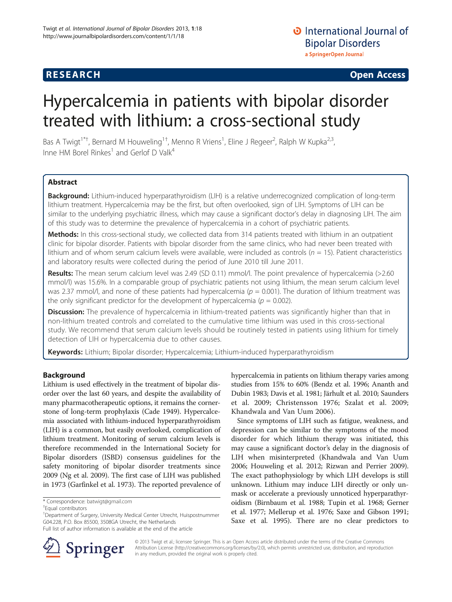# Hypercalcemia in patients with bipolar disorder treated with lithium: a cross-sectional study

Bas A Twigt<sup>1\*†</sup>, Bernard M Houweling<sup>1†</sup>, Menno R Vriens<sup>1</sup>, Eline J Regeer<sup>2</sup>, Ralph W Kupka<sup>2,3</sup>, Inne HM Borel Rinkes<sup>1</sup> and Gerlof D Valk<sup>4</sup>

# Abstract

Background: Lithium-induced hyperparathyroidism (LIH) is a relative underrecognized complication of long-term lithium treatment. Hypercalcemia may be the first, but often overlooked, sign of LIH. Symptoms of LIH can be similar to the underlying psychiatric illness, which may cause a significant doctor's delay in diagnosing LIH. The aim of this study was to determine the prevalence of hypercalcemia in a cohort of psychiatric patients.

Methods: In this cross-sectional study, we collected data from 314 patients treated with lithium in an outpatient clinic for bipolar disorder. Patients with bipolar disorder from the same clinics, who had never been treated with lithium and of whom serum calcium levels were available, were included as controls ( $n = 15$ ). Patient characteristics and laboratory results were collected during the period of June 2010 till June 2011.

Results: The mean serum calcium level was 2.49 (SD 0.11) mmol/l. The point prevalence of hypercalcemia (>2.60 mmol/l) was 15.6%. In a comparable group of psychiatric patients not using lithium, the mean serum calcium level was 2.37 mmol/l, and none of these patients had hypercalcemia ( $p = 0.001$ ). The duration of lithium treatment was the only significant predictor for the development of hypercalcemia ( $p = 0.002$ ).

Discussion: The prevalence of hypercalcemia in lithium-treated patients was significantly higher than that in non-lithium treated controls and correlated to the cumulative time lithium was used in this cross-sectional study. We recommend that serum calcium levels should be routinely tested in patients using lithium for timely detection of LIH or hypercalcemia due to other causes.

Keywords: Lithium; Bipolar disorder; Hypercalcemia; Lithium-induced hyperparathyroidism

## Background

Lithium is used effectively in the treatment of bipolar disorder over the last 60 years, and despite the availability of many pharmacotherapeutic options, it remains the cornerstone of long-term prophylaxis (Cade [1949\)](#page-4-0). Hypercalcemia associated with lithium-induced hyperparathyroidism (LIH) is a common, but easily overlooked, complication of lithium treatment. Monitoring of serum calcium levels is therefore recommended in the International Society for Bipolar disorders (ISBD) consensus guidelines for the safety monitoring of bipolar disorder treatments since 2009 (Ng et al. [2009\)](#page-4-0). The first case of LIH was published in 1973 (Garfinkel et al. [1973\)](#page-4-0). The reported prevalence of

<sup>1</sup>Department of Surgery, University Medical Center Utrecht, Huispostnummer G04.228, P.O. Box 85500, 3508GA Utrecht, the Netherlands



Since symptoms of LIH such as fatigue, weakness, and depression can be similar to the symptoms of the mood disorder for which lithium therapy was initiated, this may cause a significant doctor's delay in the diagnosis of LIH when misinterpreted (Khandwala and Van Uum [2006;](#page-4-0) Houweling et al. [2012](#page-4-0); Rizwan and Perrier [2009](#page-4-0)). The exact pathophysiology by which LIH develops is still unknown. Lithium may induce LIH directly or only unmask or accelerate a previously unnoticed hyperparathyroidism (Birnbaum et al. [1988;](#page-4-0) Tupin et al. [1968](#page-5-0); Gerner et al. [1977](#page-4-0); Mellerup et al. [1976;](#page-4-0) Saxe and Gibson [1991](#page-5-0); Saxe et al. [1995\)](#page-5-0). There are no clear predictors to



© 2013 Twigt et al.; licensee Springer. This is an Open Access article distributed under the terms of the Creative Commons Attribution License [\(http://creativecommons.org/licenses/by/2.0\)](http://creativecommons.org/licenses/by/2.0), which permits unrestricted use, distribution, and reproduction in any medium, provided the original work is properly cited.

<sup>\*</sup> Correspondence: [batwigt@gmail.com](mailto:batwigt@gmail.com) †

Equal contributors

Full list of author information is available at the end of the article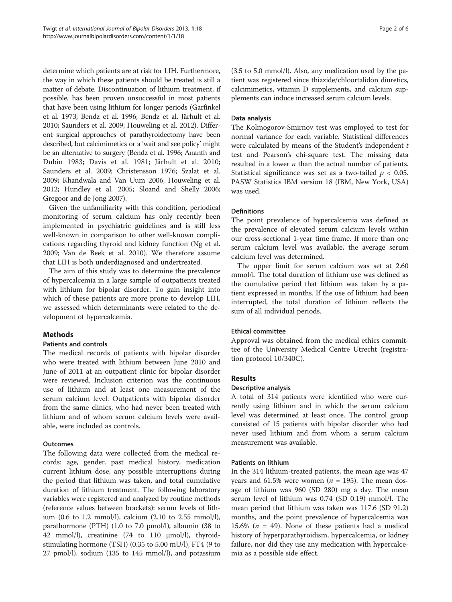determine which patients are at risk for LIH. Furthermore, the way in which these patients should be treated is still a matter of debate. Discontinuation of lithium treatment, if possible, has been proven unsuccessful in most patients that have been using lithium for longer periods (Garfinkel et al. [1973;](#page-4-0) Bendz et al. [1996](#page-4-0); Bendz et al. Järhult et al. [2010;](#page-4-0) Saunders et al. [2009](#page-5-0); Houweling et al. [2012\)](#page-4-0). Different surgical approaches of parathyroidectomy have been described, but calcimimetics or a 'wait and see policy' might be an alternative to surgery (Bendz et al. [1996](#page-4-0); Ananth and Dubin [1983](#page-4-0); Davis et al. [1981;](#page-4-0) Järhult et al. [2010](#page-4-0); Saunders et al. [2009](#page-5-0); Christensson [1976](#page-4-0); Szalat et al. [2009;](#page-5-0) Khandwala and Van Uum [2006;](#page-4-0) Houweling et al. [2012;](#page-4-0) Hundley et al. [2005;](#page-4-0) Sloand and Shelly [2006](#page-5-0); Gregoor and de Jong [2007](#page-4-0)).

Given the unfamiliarity with this condition, periodical monitoring of serum calcium has only recently been implemented in psychiatric guidelines and is still less well-known in comparison to other well-known complications regarding thyroid and kidney function (Ng et al. [2009](#page-4-0); Van de Beek et al. [2010](#page-5-0)). We therefore assume that LIH is both underdiagnosed and undertreated.

The aim of this study was to determine the prevalence of hypercalcemia in a large sample of outpatients treated with lithium for bipolar disorder. To gain insight into which of these patients are more prone to develop LIH, we assessed which determinants were related to the development of hypercalcemia.

## Methods

## Patients and controls

The medical records of patients with bipolar disorder who were treated with lithium between June 2010 and June of 2011 at an outpatient clinic for bipolar disorder were reviewed. Inclusion criterion was the continuous use of lithium and at least one measurement of the serum calcium level. Outpatients with bipolar disorder from the same clinics, who had never been treated with lithium and of whom serum calcium levels were available, were included as controls.

## Outcomes

The following data were collected from the medical records: age, gender, past medical history, medication current lithium dose, any possible interruptions during the period that lithium was taken, and total cumulative duration of lithium treatment. The following laboratory variables were registered and analyzed by routine methods (reference values between brackets): serum levels of lithium (0.6 to 1.2 mmol/l), calcium (2.10 to 2.55 mmol/l), parathormone (PTH) (1.0 to 7.0 pmol/l), albumin (38 to 42 mmol/l), creatinine (74 to 110 μmol/l), thyroidstimulating hormone (TSH) (0.35 to 5.00 mU/l), FT4 (9 to 27 pmol/l), sodium (135 to 145 mmol/l), and potassium (3.5 to 5.0 mmol/l). Also, any medication used by the patient was registered since thiazide/chloortalidon diuretics, calcimimetics, vitamin D supplements, and calcium supplements can induce increased serum calcium levels.

## Data analysis

The Kolmogorov-Smirnov test was employed to test for normal variance for each variable. Statistical differences were calculated by means of the Student's independent t test and Pearson's chi-square test. The missing data resulted in a lower  $n$  than the actual number of patients. Statistical significance was set as a two-tailed  $p < 0.05$ . PASW Statistics IBM version 18 (IBM, New York, USA) was used.

## Definitions

The point prevalence of hypercalcemia was defined as the prevalence of elevated serum calcium levels within our cross-sectional 1-year time frame. If more than one serum calcium level was available, the average serum calcium level was determined.

The upper limit for serum calcium was set at 2.60 mmol/l. The total duration of lithium use was defined as the cumulative period that lithium was taken by a patient expressed in months. If the use of lithium had been interrupted, the total duration of lithium reflects the sum of all individual periods.

## Ethical committee

Approval was obtained from the medical ethics committee of the University Medical Centre Utrecht (registration protocol 10/340C).

## Results

#### Descriptive analysis

A total of 314 patients were identified who were currently using lithium and in which the serum calcium level was determined at least once. The control group consisted of 15 patients with bipolar disorder who had never used lithium and from whom a serum calcium measurement was available.

## Patients on lithium

In the 314 lithium-treated patients, the mean age was 47 years and 61.5% were women ( $n = 195$ ). The mean dosage of lithium was 960 (SD 280) mg a day. The mean serum level of lithium was 0.74 (SD 0.19) mmol/l. The mean period that lithium was taken was 117.6 (SD 91.2) months, and the point prevalence of hypercalcemia was 15.6% ( $n = 49$ ). None of these patients had a medical history of hyperparathyroidism, hypercalcemia, or kidney failure, nor did they use any medication with hypercalcemia as a possible side effect.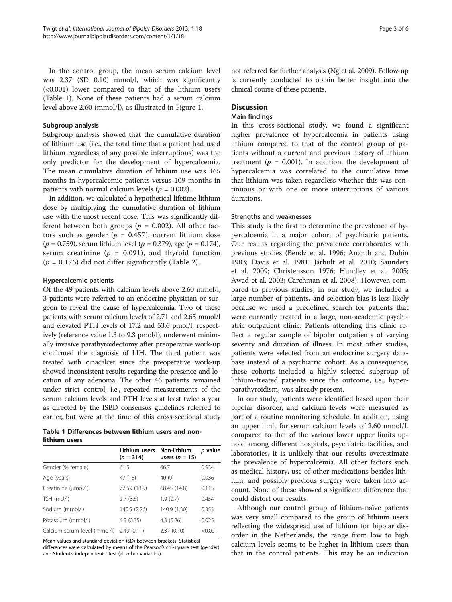In the control group, the mean serum calcium level was 2.37 (SD 0.10) mmol/l, which was significantly (<0.001) lower compared to that of the lithium users (Table 1). None of these patients had a serum calcium level above 2.60 (mmol/l), as illustrated in Figure [1](#page-3-0).

#### Subgroup analysis

Subgroup analysis showed that the cumulative duration of lithium use (i.e., the total time that a patient had used lithium regardless of any possible interruptions) was the only predictor for the development of hypercalcemia. The mean cumulative duration of lithium use was 165 months in hypercalcemic patients versus 109 months in patients with normal calcium levels ( $p = 0.002$ ).

In addition, we calculated a hypothetical lifetime lithium dose by multiplying the cumulative duration of lithium use with the most recent dose. This was significantly different between both groups ( $p = 0.002$ ). All other factors such as gender ( $p = 0.457$ ), current lithium dose  $(p = 0.759)$ , serum lithium level  $(p = 0.379)$ , age  $(p = 0.174)$ , serum creatinine ( $p = 0.091$ ), and thyroid function  $(p = 0.176)$  did not differ significantly (Table [2\)](#page-3-0).

#### Hypercalcemic patients

Of the 49 patients with calcium levels above 2.60 mmol/l, 3 patients were referred to an endocrine physician or surgeon to reveal the cause of hypercalcemia. Two of these patients with serum calcium levels of 2.71 and 2.65 mmol/l and elevated PTH levels of 17.2 and 53.6 pmol/l, respectively (reference value 1.3 to 9.3 pmol/l), underwent minimally invasive parathyroidectomy after preoperative work-up confirmed the diagnosis of LIH. The third patient was treated with cinacalcet since the preoperative work-up showed inconsistent results regarding the presence and location of any adenoma. The other 46 patients remained under strict control, i.e., repeated measurements of the serum calcium levels and PTH levels at least twice a year as directed by the ISBD consensus guidelines referred to earlier, but were at the time of this cross-sectional study

Table 1 Differences between lithium users and nonlithium users

|                              | Lithium users Non-lithium<br>$(n = 314)$ | users $(n = 15)$ | p value |
|------------------------------|------------------------------------------|------------------|---------|
| Gender (% female)            | 61.5                                     | 66.7             | 0.934   |
| Age (years)                  | 47 (13)                                  | 40 (9)           | 0.036   |
| Creatinine (µmol/l)          | 77.59 (18.9)                             | 68.45 (14.8)     | 0.115   |
| TSH (mU/l)                   | 2.7(3.6)                                 | 1.9(0.7)         | 0.454   |
| Sodium (mmol/l)              | 140.5 (2.26)                             | 140.9 (1.30)     | 0.353   |
| Potassium (mmol/l)           | 4.5(0.35)                                | 4.3(0.26)        | 0.025   |
| Calcium serum level (mmol/l) | 2.49(0.11)                               | 2.37(0.10)       | < 0.001 |

Mean values and standard deviation (SD) between brackets. Statistical differences were calculated by means of the Pearson's chi-square test (gender) and Student's independent t test (all other variables).

not referred for further analysis (Ng et al. [2009](#page-4-0)). Follow-up is currently conducted to obtain better insight into the clinical course of these patients.

#### **Discussion**

#### Main findings

In this cross-sectional study, we found a significant higher prevalence of hypercalcemia in patients using lithium compared to that of the control group of patients without a current and previous history of lithium treatment ( $p = 0.001$ ). In addition, the development of hypercalcemia was correlated to the cumulative time that lithium was taken regardless whether this was continuous or with one or more interruptions of various durations.

#### Strengths and weaknesses

This study is the first to determine the prevalence of hypercalcemia in a major cohort of psychiatric patients. Our results regarding the prevalence corroborates with previous studies (Bendz et al. [1996;](#page-4-0) Ananth and Dubin [1983](#page-4-0); Davis et al. [1981](#page-4-0); Järhult et al. [2010;](#page-4-0) Saunders et al. [2009;](#page-5-0) Christensson [1976](#page-4-0); Hundley et al. [2005](#page-4-0); Awad et al. [2003;](#page-4-0) Carchman et al. [2008\)](#page-4-0). However, compared to previous studies, in our study, we included a large number of patients, and selection bias is less likely because we used a predefined search for patients that were currently treated in a large, non-academic psychiatric outpatient clinic. Patients attending this clinic reflect a regular sample of bipolar outpatients of varying severity and duration of illness. In most other studies, patients were selected from an endocrine surgery database instead of a psychiatric cohort. As a consequence, these cohorts included a highly selected subgroup of lithium-treated patients since the outcome, i.e., hyperparathyroidism, was already present.

In our study, patients were identified based upon their bipolar disorder, and calcium levels were measured as part of a routine monitoring schedule. In addition, using an upper limit for serum calcium levels of 2.60 mmol/L compared to that of the various lower upper limits uphold among different hospitals, psychiatric facilities, and laboratories, it is unlikely that our results overestimate the prevalence of hypercalcemia. All other factors such as medical history, use of other medications besides lithium, and possibly previous surgery were taken into account. None of these showed a significant difference that could distort our results.

Although our control group of lithium-naïve patients was very small compared to the group of lithium users reflecting the widespread use of lithium for bipolar disorder in the Netherlands, the range from low to high calcium levels seems to be higher in lithium users than that in the control patients. This may be an indication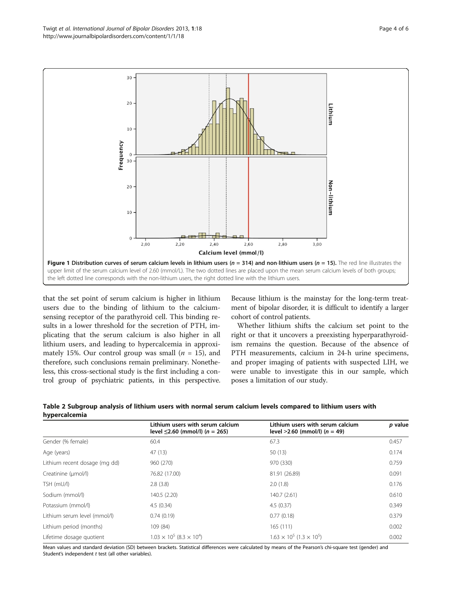<span id="page-3-0"></span>

that the set point of serum calcium is higher in lithium users due to the binding of lithium to the calciumsensing receptor of the parathyroid cell. This binding results in a lower threshold for the secretion of PTH, implicating that the serum calcium is also higher in all lithium users, and leading to hypercalcemia in approximately 15%. Our control group was small  $(n = 15)$ , and therefore, such conclusions remain preliminary. Nonetheless, this cross-sectional study is the first including a control group of psychiatric patients, in this perspective.

Because lithium is the mainstay for the long-term treatment of bipolar disorder, it is difficult to identify a larger cohort of control patients.

Whether lithium shifts the calcium set point to the right or that it uncovers a preexisting hyperparathyroidism remains the question. Because of the absence of PTH measurements, calcium in 24-h urine specimens, and proper imaging of patients with suspected LIH, we were unable to investigate this in our sample, which poses a limitation of our study.

| Table 2 Subgroup analysis of lithium users with normal serum calcium levels compared to lithium users with |  |  |  |  |  |
|------------------------------------------------------------------------------------------------------------|--|--|--|--|--|
| hypercalcemia                                                                                              |  |  |  |  |  |

|                               | Lithium users with serum calcium<br>level $\leq$ 2.60 (mmol/l) (n = 265) | Lithium users with serum calcium<br>level $>2.60$ (mmol/l) (n = 49) | p value |
|-------------------------------|--------------------------------------------------------------------------|---------------------------------------------------------------------|---------|
| Gender (% female)             | 60.4                                                                     | 67.3                                                                | 0.457   |
| Age (years)                   | 47 (13)                                                                  | 50 (13)                                                             | 0.174   |
| Lithium recent dosage (mg dd) | 960 (270)                                                                | 970 (330)                                                           | 0.759   |
| Creatinine (µmol/l)           | 76.82 (17.00)                                                            | 81.91 (26.89)                                                       | 0.091   |
| TSH (mU/l)                    | 2.8(3.8)                                                                 | 2.0(1.8)                                                            | 0.176   |
| Sodium (mmol/l)               | 140.5 (2.20)                                                             | 140.7 (2.61)                                                        | 0.610   |
| Potassium (mmol/l)            | 4.5(0.34)                                                                | 4.5(0.37)                                                           | 0.349   |
| Lithium serum level (mmol/l)  | 0.74(0.19)                                                               | 0.77(0.18)                                                          | 0.379   |
| Lithium period (months)       | 109 (84)                                                                 | 165(111)                                                            | 0.002   |
| Lifetime dosage quotient      | $1.03 \times 10^5$ (8.3 $\times 10^4$ )                                  | $1.63 \times 10^5$ (1.3 $\times 10^5$ )                             | 0.002   |

Mean values and standard deviation (SD) between brackets. Statistical differences were calculated by means of the Pearson's chi-square test (gender) and Student's independent t test (all other variables).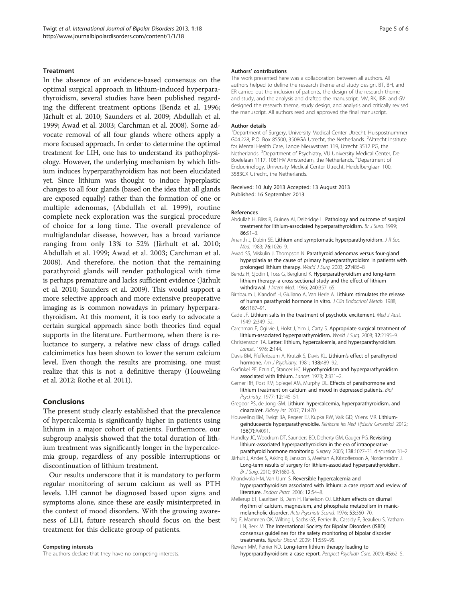#### <span id="page-4-0"></span>**Treatment**

In the absence of an evidence-based consensus on the optimal surgical approach in lithium-induced hyperparathyroidism, several studies have been published regarding the different treatment options (Bendz et al. 1996; Järhult et al. 2010; Saunders et al. [2009;](#page-5-0) Abdullah et al. 1999; Awad et al. 2003; Carchman et al. 2008). Some advocate removal of all four glands where others apply a more focused approach. In order to determine the optimal treatment for LIH, one has to understand its pathophysiology. However, the underlying mechanism by which lithium induces hyperparathyroidism has not been elucidated yet. Since lithium was thought to induce hyperplastic changes to all four glands (based on the idea that all glands are exposed equally) rather than the formation of one or multiple adenomas, (Abdullah et al. 1999), routine complete neck exploration was the surgical procedure of choice for a long time. The overall prevalence of multiglandular disease, however, has a broad variance ranging from only 13% to 52% (Järhult et al. 2010; Abdullah et al. 1999; Awad et al. 2003; Carchman et al. 2008). And therefore, the notion that the remaining parathyroid glands will render pathological with time is perhaps premature and lacks sufficient evidence (Järhult et al. 2010; Saunders et al. [2009](#page-5-0)). This would support a more selective approach and more extensive preoperative imaging as is common nowadays in primary hyperparathyroidism. At this moment, it is too early to advocate a certain surgical approach since both theories find equal supports in the literature. Furthermore, when there is reluctance to surgery, a relative new class of drugs called calcimimetics has been shown to lower the serum calcium level. Even though the results are promising, one must realize that this is not a definitive therapy (Houweling et al. 2012; Rothe et al. [2011](#page-5-0)).

#### Conclusions

The present study clearly established that the prevalence of hypercalcemia is significantly higher in patients using lithium in a major cohort of patients. Furthermore, our subgroup analysis showed that the total duration of lithium treatment was significantly longer in the hypercalcemia group, regardless of any possible interruptions or discontinuation of lithium treatment.

Our results underscore that it is mandatory to perform regular monitoring of serum calcium as well as PTH levels. LIH cannot be diagnosed based upon signs and symptoms alone, since these are easily misinterpreted in the context of mood disorders. With the growing awareness of LIH, future research should focus on the best treatment for this delicate group of patients.

#### Competing interests

The authors declare that they have no competing interests.

#### Authors' contributions

The work presented here was a collaboration between all authors. All authors helped to define the research theme and study design. BT, BH, and ER carried out the inclusion of patients, the design of the research theme and study, and the analysis and drafted the manuscript. MV, RK, IBR, and GV designed the research theme, study design, and analysis and critically revised the manuscript. All authors read and approved the final manuscript.

#### Author details

<sup>1</sup>Department of Surgery, University Medical Center Utrecht, Huispostnummer G04.228, P.O. Box 85500, 3508GA Utrecht, the Netherlands. <sup>2</sup>Altrecht Institute for Mental Health Care, Lange Nieuwstraat 119, Utrecht 3512 PG, the Netherlands. <sup>3</sup>Department of Psychiatry, VU University Medical Center, De Boelelaan 1117, 1081HV Amsterdam, the Netherlands. <sup>4</sup>Department of Endocrinology, University Medical Center Utrecht, Heidelberglaan 100, 3583CX Utrecht, the Netherlands.

#### Received: 10 July 2013 Accepted: 13 August 2013 Published: 16 September 2013

#### References

- Abdullah H, Bliss R, Guinea AI, Delbridge L. Pathology and outcome of surgical treatment for lithium-associated hyperparathyroidism. Br J Surg. 1999; 86:91–3.
- Ananth J, Dubin SE. Lithium and symptomatic hyperparathyroidism. J R Soc Med. 1983; 76:1026–9.
- Awad SS, Miskulin J, Thompson N. Parathyroid adenomas versus four-gland hyperplasia as the cause of primary hyperparathyroidism in patients with prolonged lithium therapy. World J Surg. 2003; 27:486-8.
- Bendz H, Sjodin I, Toss G, Berglund K. Hyperparathyroidism and long-term lithium therapy–a cross-sectional study and the effect of lithium withdrawal. J Intern Med. 1996; 240:357-65.
- Birnbaum J, Klandorf H, Giuliano A, Van Herle A. Lithium stimulates the release of human parathyroid hormone in vitro. J Clin Endocrinol Metab. 1988; 66:1187–91.
- Cade JF. Lithium salts in the treatment of psychotic excitement. Med J Aust. 1949; 2:349–52.
- Carchman E, Ogilvie J, Holst J, Yim J, Carty S. Appropriate surgical treatment of lithium-associated hyperparathyroidism. World J Surg. 2008; 32:2195–9.
- Christensson TA. Letter: lithium, hypercalcemia, and hyperparathyroidism. Lancet. 1976; 2:144.
- Davis BM, Pfefferbaum A, Krutzik S, Davis KL. Lithium's effect of parathyroid hormone. Am J Psychiatry. 1981; 138:489-92.
- Garfinkel PE, Ezrin C, Stancer HC. Hypothyroidism and hyperparathyroidism associated with lithium. Lancet. 1973; 2:331–2.
- Gerner RH, Post RM, Spiegel AM, Murphy DL. Effects of parathormone and lithium treatment on calcium and mood in depressed patients. Biol Psychiatry. 1977; 12:145–51.
- Gregoor PS, de Jong GM. Lithium hypercalcemia, hyperparathyroidism, and cinacalcet. Kidney Int. 2007; 71:470.
- Houweling BM, Twigt BA, Regeer EJ, Kupka RW, Valk GD, Vriens MR. Lithiumgeïnduceerde hyperparathyreoidie. Klinische les Ned Tijdschr Geneeskd. 2012; 156(7):A4091.
- Hundley JC, Woodrum DT, Saunders BD, Doherty GM, Gauger PG. Revisiting lithium-associated hyperparathyroidism in the era of intraoperative parathyroid hormone monitoring. Surgery. 2005; 138:1027–31. discussion 31–2.
- Järhult J, Ander S, Asking B, Jansson S, Meehan A, Kristoffersson A, Nordenström J. Long-term results of surgery for lithium-associated hyperparathyroidism. Br J Surg. 2010; 97:1680–5.
- Khandwala HM, Van Uum S. Reversible hypercalcemia and hyperparathyroidism associated with lithium: a case report and review of literature. Endocr Pract. 2006; 12:54-8.
- Mellerup ET, Lauritsen B, Dam H, Rafaelson OJ. Lithium effects on diurnal rhythm of calcium, magnesium, and phosphate metabolism in manicmelancholic disorder. Acta Psychiatr Scand. 1976; 53:360–70.
- Ng F, Mammen OK, Wilting I, Sachs GS, Ferrier IN, Cassidy F, Beaulieu S, Yatham LN, Berk M. The International Society for Bipolar Disorders (ISBD) consensus guidelines for the safety monitoring of bipolar disorder treatments. Bipolar Disord. 2009; 11:559–95.

Rizwan MM, Perrier ND. Long-term lithium therapy leading to hyperparathyroidism: a case report. Perspect Psychiatr Care. 2009; 45:62-5.